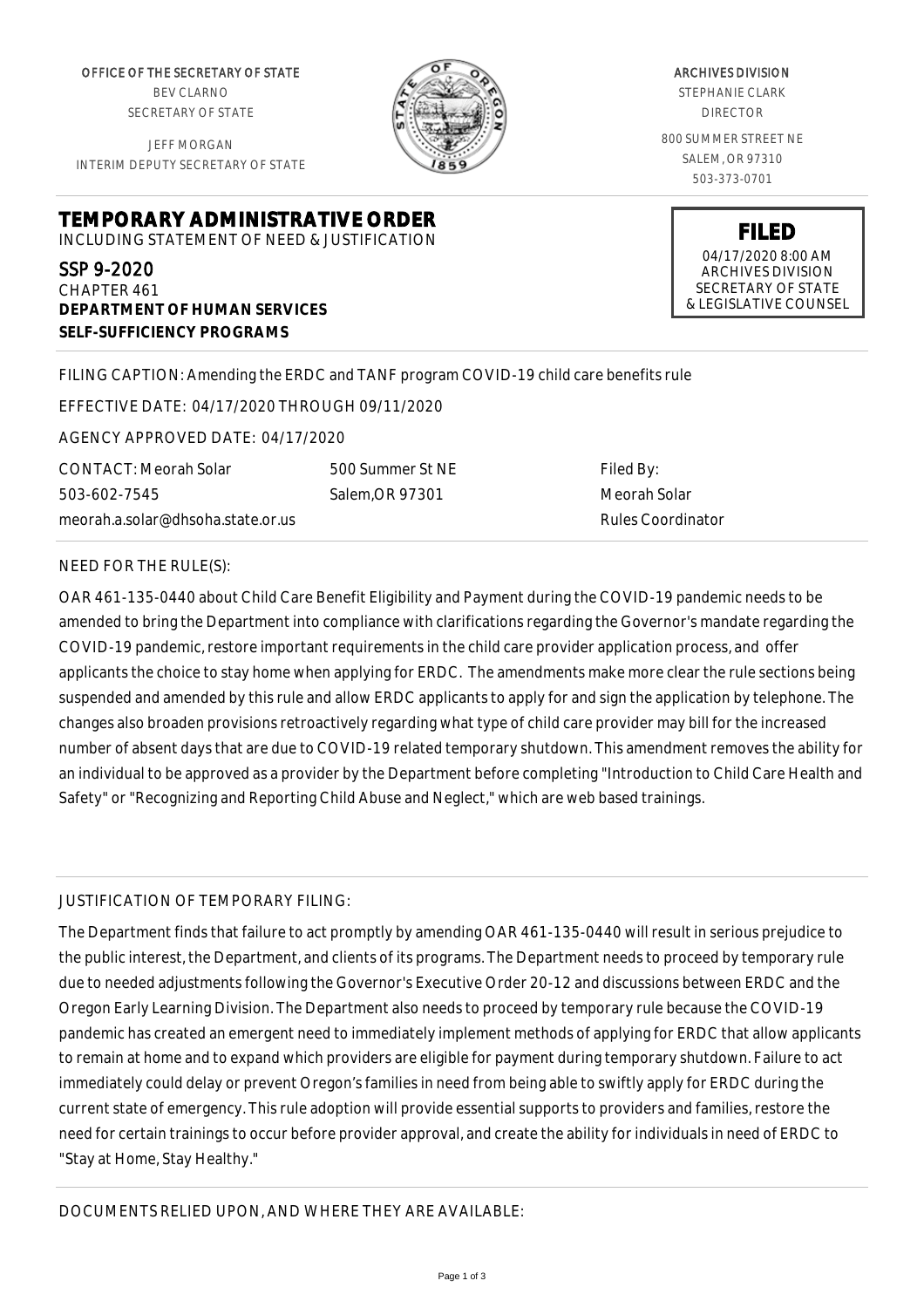OFFICE OF THE SECRETARY OF STATE BEV CLARNO SECRETARY OF STATE

JEFF MORGAN INTERIM DEPUTY SECRETARY OF STATE

**DEPARTMENT OF HUMAN SERVICES**

**SELF-SUFFICIENCY PROGRAMS**



ARCHIVES DIVISION STEPHANIE CLARK DIRECTOR 800 SUMMER STREET NE SALEM, OR 97310

503-373-0701

**FILED** 04/17/2020 8:00 AM ARCHIVES DIVISION SECRETARY OF STATE & LEGISLATIVE COUNSEL

FILING CAPTION: Amending the ERDC and TANF program COVID-19 child care benefits rule

EFFECTIVE DATE: 04/17/2020 THROUGH 09/11/2020

**TEMPORARY ADMINISTRATIVE ORDER** INCLUDING STATEMENT OF NEED & JUSTIFICATION

AGENCY APPROVED DATE: 04/17/2020

CONTACT: Meorah Solar 503-602-7545 meorah.a.solar@dhsoha.state.or.us

500 Summer St NE Salem,OR 97301

Filed By: Meorah Solar Rules Coordinator

## NEED FOR THE RULE(S):

SSP 9-2020 CHAPTER 461

OAR 461-135-0440 about Child Care Benefit Eligibility and Payment during the COVID-19 pandemic needs to be amended to bring the Department into compliance with clarifications regarding the Governor's mandate regarding the COVID-19 pandemic, restore important requirements in the child care provider application process, and offer applicants the choice to stay home when applying for ERDC. The amendments make more clear the rule sections being suspended and amended by this rule and allow ERDC applicants to apply for and sign the application by telephone. The changes also broaden provisions retroactively regarding what type of child care provider may bill for the increased number of absent days that are due to COVID-19 related temporary shutdown. This amendment removes the ability for an individual to be approved as a provider by the Department before completing "Introduction to Child Care Health and Safety" or "Recognizing and Reporting Child Abuse and Neglect," which are web based trainings.

## JUSTIFICATION OF TEMPORARY FILING:

The Department finds that failure to act promptly by amending OAR 461-135-0440 will result in serious prejudice to the public interest, the Department, and clients of its programs. The Department needs to proceed by temporary rule due to needed adjustments following the Governor's Executive Order 20-12 and discussions between ERDC and the Oregon Early Learning Division. The Department also needs to proceed by temporary rule because the COVID-19 pandemic has created an emergent need to immediately implement methods of applying for ERDC that allow applicants to remain at home and to expand which providers are eligible for payment during temporary shutdown. Failure to act immediately could delay or prevent Oregon's families in need from being able to swiftly apply for ERDC during the current state of emergency. This rule adoption will provide essential supports to providers and families, restore the need for certain trainings to occur before provider approval, and create the ability for individuals in need of ERDC to "Stay at Home, Stay Healthy."

DOCUMENTS RELIED UPON, AND WHERE THEY ARE AVAILABLE: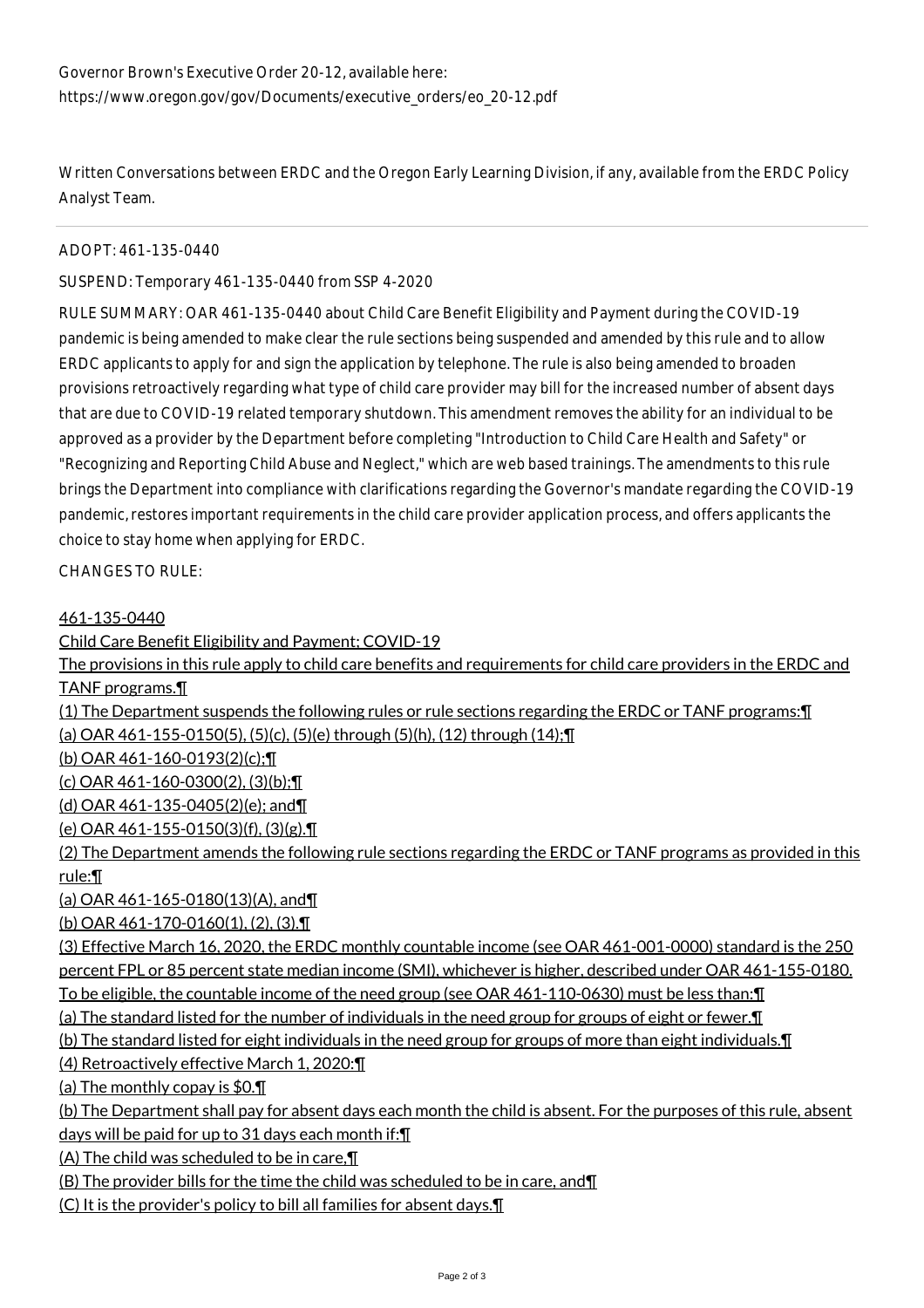Written Conversations between ERDC and the Oregon Early Learning Division, if any, available from the ERDC Policy Analyst Team.

ADOPT: 461-135-0440

SUSPEND: Temporary 461-135-0440 from SSP 4-2020

RULE SUMMARY: OAR 461-135-0440 about Child Care Benefit Eligibility and Payment during the COVID-19 pandemic is being amended to make clear the rule sections being suspended and amended by this rule and to allow ERDC applicants to apply for and sign the application by telephone. The rule is also being amended to broaden provisions retroactively regarding what type of child care provider may bill for the increased number of absent days that are due to COVID-19 related temporary shutdown. This amendment removes the ability for an individual to be approved as a provider by the Department before completing "Introduction to Child Care Health and Safety" or "Recognizing and Reporting Child Abuse and Neglect," which are web based trainings. The amendments to this rule brings the Department into compliance with clarifications regarding the Governor's mandate regarding the COVID-19 pandemic, restores important requirements in the child care provider application process, and offers applicants the choice to stay home when applying for ERDC.

CHANGES TO RULE:

## 461-135-0440

Child Care Benefit Eligibility and Payment; COVID-19

The provisions in this rule apply to child care benefits and requirements for child care providers in the ERDC and TANF programs.¶

(1) The Department suspends the following rules or rule sections regarding the ERDC or TANF programs:¶ (a) OAR 461-155-0150(5), (5)(c), (5)(e) through (5)(h), (12) through (14);¶

(b) OAR 461-160-0193(2)(c);¶

(c) OAR 461-160-0300(2), (3)(b);¶

(d) OAR 461-135-0405(2)(e); and¶

(e) OAR 461-155-0150(3)(f), (3)(g).¶

(2) The Department amends the following rule sections regarding the ERDC or TANF programs as provided in this rule:¶

(a) OAR 461-165-0180(13)(A), and¶

(b) OAR 461-170-0160(1), (2), (3).¶

(3) Effective March 16, 2020, the ERDC monthly countable income (see OAR 461-001-0000) standard is the 250 percent FPL or 85 percent state median income (SMI), whichever is higher, described under OAR 461-155-0180. To be eligible, the countable income of the need group (see OAR 461-110-0630) must be less than:¶

(a) The standard listed for the number of individuals in the need group for groups of eight or fewer.¶

(b) The standard listed for eight individuals in the need group for groups of more than eight individuals.¶

(4) Retroactively effective March 1, 2020:¶

(a) The monthly copay is \$0.¶

(b) The Department shall pay for absent days each month the child is absent. For the purposes of this rule, absent days will be paid for up to 31 days each month if:¶

(A) The child was scheduled to be in care,¶

(B) The provider bills for the time the child was scheduled to be in care, and¶

(C) It is the provider's policy to bill all families for absent days.¶